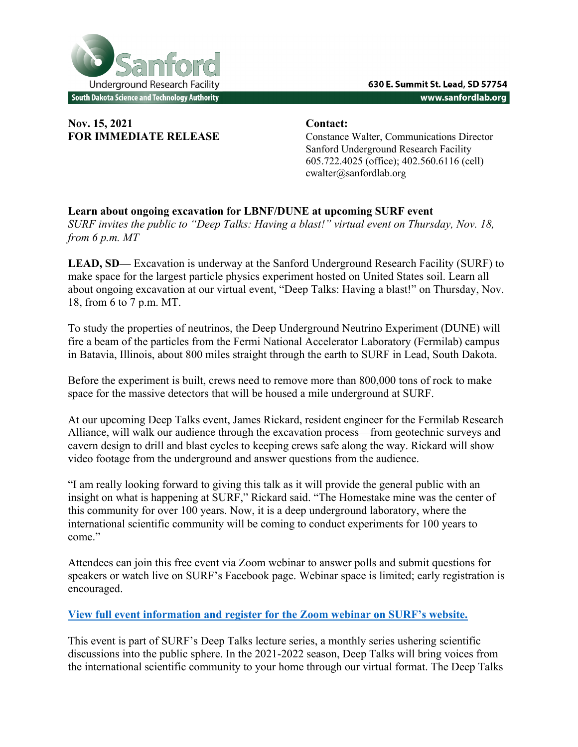

## **Nov. 15, 2021 Contact:**

**FOR IMMEDIATE RELEASE** Constance Walter, Communications Director Sanford Underground Research Facility 605.722.4025 (office); 402.560.6116 (cell) cwalter@sanfordlab.org

## **Learn about ongoing excavation for LBNF/DUNE at upcoming SURF event**  *SURF invites the public to "Deep Talks: Having a blast!" virtual event on Thursday, Nov. 18, from 6 p.m. MT*

**LEAD, SD—** Excavation is underway at the Sanford Underground Research Facility (SURF) to make space for the largest particle physics experiment hosted on United States soil. Learn all about ongoing excavation at our virtual event, "Deep Talks: Having a blast!" on Thursday, Nov. 18, from 6 to 7 p.m. MT.

To study the properties of neutrinos, the Deep Underground Neutrino Experiment (DUNE) will fire a beam of the particles from the Fermi National Accelerator Laboratory (Fermilab) campus in Batavia, Illinois, about 800 miles straight through the earth to SURF in Lead, South Dakota.

Before the experiment is built, crews need to remove more than 800,000 tons of rock to make space for the massive detectors that will be housed a mile underground at SURF.

At our upcoming Deep Talks event, James Rickard, resident engineer for the Fermilab Research Alliance, will walk our audience through the excavation process—from geotechnic surveys and cavern design to drill and blast cycles to keeping crews safe along the way. Rickard will show video footage from the underground and answer questions from the audience.

"I am really looking forward to giving this talk as it will provide the general public with an insight on what is happening at SURF," Rickard said. "The Homestake mine was the center of this community for over 100 years. Now, it is a deep underground laboratory, where the international scientific community will be coming to conduct experiments for 100 years to come."

Attendees can join this free event via Zoom webinar to answer polls and submit questions for speakers or watch live on SURF's Facebook page. Webinar space is limited; early registration is encouraged.

## **View full event information and register for the Zoom webinar on SURF's website.**

This event is part of SURF's Deep Talks lecture series, a monthly series ushering scientific discussions into the public sphere. In the 2021-2022 season, Deep Talks will bring voices from the international scientific community to your home through our virtual format. The Deep Talks